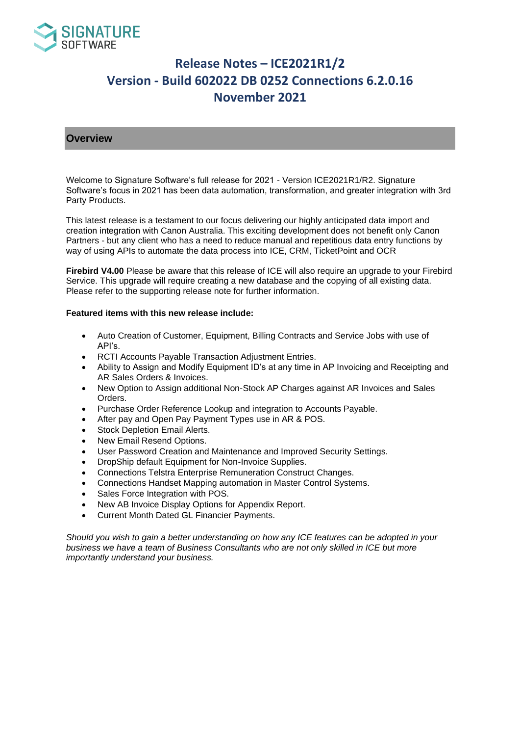

## **Overview**

Welcome to Signature Software's full release for 2021 - Version ICE2021R1/R2. Signature Software's focus in 2021 has been data automation, transformation, and greater integration with 3rd Party Products.

This latest release is a testament to our focus delivering our highly anticipated data import and creation integration with Canon Australia. This exciting development does not benefit only Canon Partners - but any client who has a need to reduce manual and repetitious data entry functions by way of using APIs to automate the data process into ICE, CRM, TicketPoint and OCR

**Firebird V4.00** Please be aware that this release of ICE will also require an upgrade to your Firebird Service. This upgrade will require creating a new database and the copying of all existing data. Please refer to the supporting release note for further information.

### **Featured items with this new release include:**

- Auto Creation of Customer, Equipment, Billing Contracts and Service Jobs with use of API's.
- RCTI Accounts Payable Transaction Adjustment Entries.
- Ability to Assign and Modify Equipment ID's at any time in AP Invoicing and Receipting and AR Sales Orders & Invoices.
- New Option to Assign additional Non-Stock AP Charges against AR Invoices and Sales Orders.
- Purchase Order Reference Lookup and integration to Accounts Payable.
- After pay and Open Pay Payment Types use in AR & POS.
- Stock Depletion Email Alerts.
- New Email Resend Options.
- User Password Creation and Maintenance and Improved Security Settings.
- DropShip default Equipment for Non-Invoice Supplies.
- Connections Telstra Enterprise Remuneration Construct Changes.
- Connections Handset Mapping automation in Master Control Systems.
- Sales Force Integration with POS.
- New AB Invoice Display Options for Appendix Report.
- Current Month Dated GL Financier Payments.

*Should you wish to gain a better understanding on how any ICE features can be adopted in your business we have a team of Business Consultants who are not only skilled in ICE but more importantly understand your business.*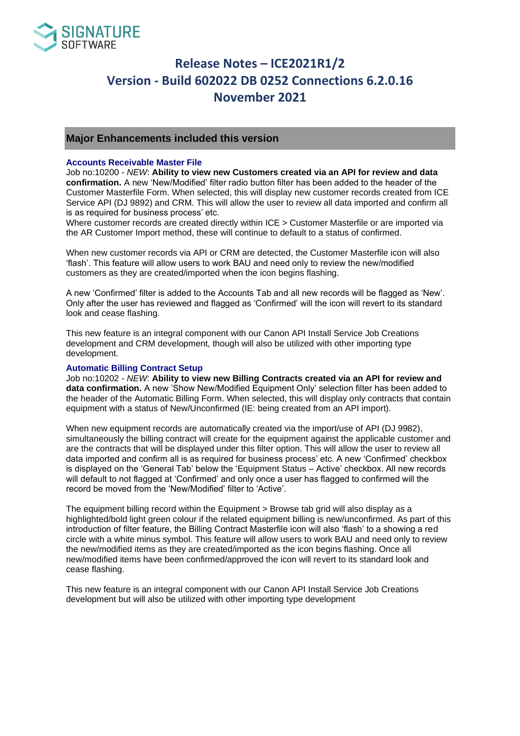

## **Major Enhancements included this version**

#### **Accounts Receivable Master File**

Job no:10200 - *NEW*: **Ability to view new Customers created via an API for review and data confirmation.** A new 'New/Modified' filter radio button filter has been added to the header of the Customer Masterfile Form. When selected, this will display new customer records created from ICE Service API (DJ 9892) and CRM. This will allow the user to review all data imported and confirm all is as required for business process' etc.

Where customer records are created directly within ICE > Customer Masterfile or are imported via the AR Customer Import method, these will continue to default to a status of confirmed.

When new customer records via API or CRM are detected, the Customer Masterfile icon will also 'flash'. This feature will allow users to work BAU and need only to review the new/modified customers as they are created/imported when the icon begins flashing.

A new 'Confirmed' filter is added to the Accounts Tab and all new records will be flagged as 'New'. Only after the user has reviewed and flagged as 'Confirmed' will the icon will revert to its standard look and cease flashing.

This new feature is an integral component with our Canon API Install Service Job Creations development and CRM development, though will also be utilized with other importing type development.

#### **Automatic Billing Contract Setup**

Job no:10202 - *NEW*: **Ability to view new Billing Contracts created via an API for review and data confirmation.** A new 'Show New/Modified Equipment Only' selection filter has been added to the header of the Automatic Billing Form. When selected, this will display only contracts that contain equipment with a status of New/Unconfirmed (IE: being created from an API import).

When new equipment records are automatically created via the import/use of API (DJ 9982), simultaneously the billing contract will create for the equipment against the applicable customer and are the contracts that will be displayed under this filter option. This will allow the user to review all data imported and confirm all is as required for business process' etc. A new 'Confirmed' checkbox is displayed on the 'General Tab' below the 'Equipment Status – Active' checkbox. All new records will default to not flagged at 'Confirmed' and only once a user has flagged to confirmed will the record be moved from the 'New/Modified' filter to 'Active'.

The equipment billing record within the Equipment > Browse tab grid will also display as a highlighted/bold light green colour if the related equipment billing is new/unconfirmed. As part of this introduction of filter feature, the Billing Contract Masterfile icon will also 'flash' to a showing a red circle with a white minus symbol. This feature will allow users to work BAU and need only to review the new/modified items as they are created/imported as the icon begins flashing. Once all new/modified items have been confirmed/approved the icon will revert to its standard look and cease flashing.

This new feature is an integral component with our Canon API Install Service Job Creations development but will also be utilized with other importing type development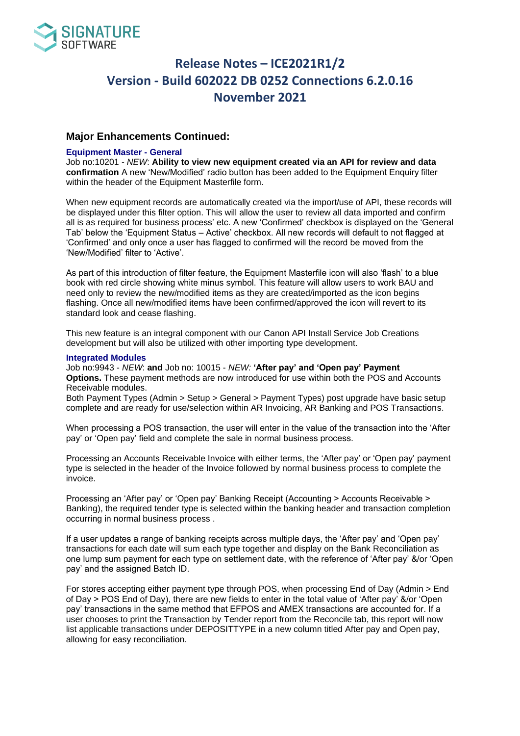

## **Major Enhancements Continued:**

#### **Equipment Master - General**

Job no:10201 - *NEW*: **Ability to view new equipment created via an API for review and data confirmation** A new 'New/Modified' radio button has been added to the Equipment Enquiry filter within the header of the Equipment Masterfile form.

When new equipment records are automatically created via the import/use of API, these records will be displayed under this filter option. This will allow the user to review all data imported and confirm all is as required for business process' etc. A new 'Confirmed' checkbox is displayed on the 'General Tab' below the 'Equipment Status – Active' checkbox. All new records will default to not flagged at 'Confirmed' and only once a user has flagged to confirmed will the record be moved from the 'New/Modified' filter to 'Active'.

As part of this introduction of filter feature, the Equipment Masterfile icon will also 'flash' to a blue book with red circle showing white minus symbol. This feature will allow users to work BAU and need only to review the new/modified items as they are created/imported as the icon begins flashing. Once all new/modified items have been confirmed/approved the icon will revert to its standard look and cease flashing.

This new feature is an integral component with our Canon API Install Service Job Creations development but will also be utilized with other importing type development.

#### **Integrated Modules**

Job no:9943 - *NEW*: **and** Job no: 10015 - *NEW:* **'After pay' and 'Open pay' Payment Options.** These payment methods are now introduced for use within both the POS and Accounts Receivable modules.

Both Payment Types (Admin > Setup > General > Payment Types) post upgrade have basic setup complete and are ready for use/selection within AR Invoicing, AR Banking and POS Transactions.

When processing a POS transaction, the user will enter in the value of the transaction into the 'After pay' or 'Open pay' field and complete the sale in normal business process.

Processing an Accounts Receivable Invoice with either terms, the 'After pay' or 'Open pay' payment type is selected in the header of the Invoice followed by normal business process to complete the invoice.

Processing an 'After pay' or 'Open pay' Banking Receipt (Accounting > Accounts Receivable > Banking), the required tender type is selected within the banking header and transaction completion occurring in normal business process .

If a user updates a range of banking receipts across multiple days, the 'After pay' and 'Open pay' transactions for each date will sum each type together and display on the Bank Reconciliation as one lump sum payment for each type on settlement date, with the reference of 'After pay' &/or 'Open pay' and the assigned Batch ID.

For stores accepting either payment type through POS, when processing End of Day (Admin > End of Day > POS End of Day), there are new fields to enter in the total value of 'After pay' &/or 'Open pay' transactions in the same method that EFPOS and AMEX transactions are accounted for. If a user chooses to print the Transaction by Tender report from the Reconcile tab, this report will now list applicable transactions under DEPOSITTYPE in a new column titled After pay and Open pay, allowing for easy reconciliation.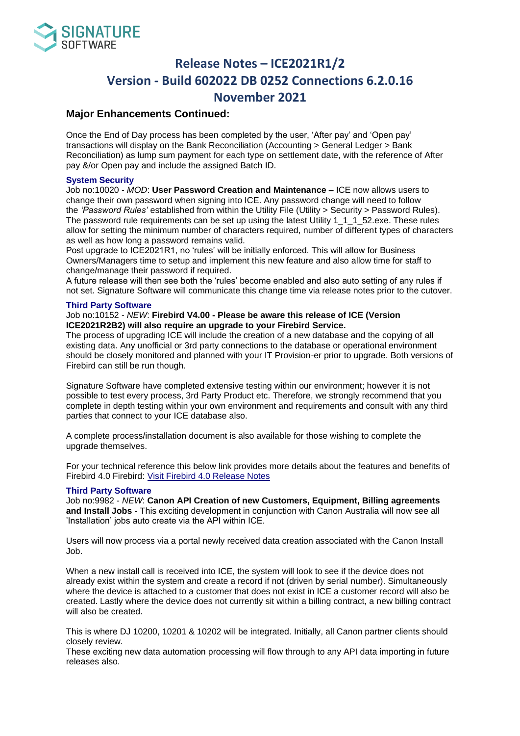

## **Major Enhancements Continued:**

Once the End of Day process has been completed by the user, 'After pay' and 'Open pay' transactions will display on the Bank Reconciliation (Accounting > General Ledger > Bank Reconciliation) as lump sum payment for each type on settlement date, with the reference of After pay &/or Open pay and include the assigned Batch ID.

### **System Security**

Job no:10020 - *MOD*: **User Password Creation and Maintenance –** ICE now allows users to change their own password when signing into ICE. Any password change will need to follow the *'Password Rules'* established from within the Utility File (Utility > Security > Password Rules). The password rule requirements can be set up using the latest Utility 1\_1\_1\_52.exe. These rules allow for setting the minimum number of characters required, number of different types of characters as well as how long a password remains valid.

Post upgrade to ICE2021R1, no 'rules' will be initially enforced. This will allow for Business Owners/Managers time to setup and implement this new feature and also allow time for staff to change/manage their password if required.

A future release will then see both the 'rules' become enabled and also auto setting of any rules if not set. Signature Software will communicate this change time via release notes prior to the cutover.

#### **Third Party Software**

#### Job no:10152 - *NEW*: **Firebird V4.00 - Please be aware this release of ICE (Version ICE2021R2B2) will also require an upgrade to your Firebird Service.**

The process of upgrading ICE will include the creation of a new database and the copying of all existing data. Any unofficial or 3rd party connections to the database or operational environment should be closely monitored and planned with your IT Provision-er prior to upgrade. Both versions of Firebird can still be run though.

Signature Software have completed extensive testing within our environment; however it is not possible to test every process, 3rd Party Product etc. Therefore, we strongly recommend that you complete in depth testing within your own environment and requirements and consult with any third parties that connect to your ICE database also.

A complete process/installation document is also available for those wishing to complete the upgrade themselves.

For your technical reference this below link provides more details about the features and benefits of Firebird 4.0 Firebird: [Visit Firebird 4.0 Release Notes](http://www.signature-software.com.au/ssl/ReleaseNote/%E2%80%99https:/firebirdsql.org/en/news/firebird-4-0-is-released/%E2%80%99)

#### **Third Party Software**

Job no:9982 - *NEW*: **Canon API Creation of new Customers, Equipment, Billing agreements and Install Jobs** - This exciting development in conjunction with Canon Australia will now see all 'Installation' jobs auto create via the API within ICE.

Users will now process via a portal newly received data creation associated with the Canon Install Job.

When a new install call is received into ICE, the system will look to see if the device does not already exist within the system and create a record if not (driven by serial number). Simultaneously where the device is attached to a customer that does not exist in ICE a customer record will also be created. Lastly where the device does not currently sit within a billing contract, a new billing contract will also be created.

This is where DJ 10200, 10201 & 10202 will be integrated. Initially, all Canon partner clients should closely review.

These exciting new data automation processing will flow through to any API data importing in future releases also.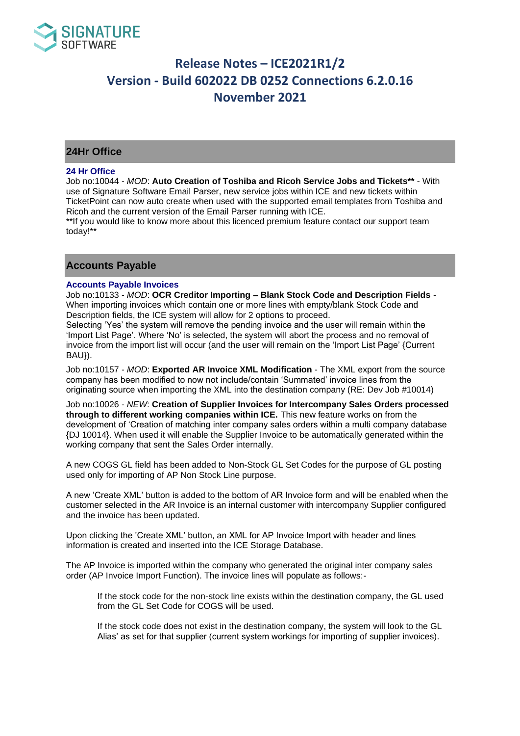

## **24Hr Office**

#### **24 Hr Office**

Job no:10044 - *MOD*: **Auto Creation of Toshiba and Ricoh Service Jobs and Tickets\*\*** - With use of Signature Software Email Parser, new service jobs within ICE and new tickets within TicketPoint can now auto create when used with the supported email templates from Toshiba and Ricoh and the current version of the Email Parser running with ICE.

\*\*If you would like to know more about this licenced premium feature contact our support team today!\*\*

## **Accounts Payable**

#### **Accounts Payable Invoices**

Job no:10133 - *MOD*: **OCR Creditor Importing – Blank Stock Code and Description Fields** - When importing invoices which contain one or more lines with empty/blank Stock Code and Description fields, the ICE system will allow for 2 options to proceed.

Selecting 'Yes' the system will remove the pending invoice and the user will remain within the 'Import List Page'. Where 'No' is selected, the system will abort the process and no removal of invoice from the import list will occur (and the user will remain on the 'Import List Page' {Current BAU}).

Job no:10157 - *MOD*: **Exported AR Invoice XML Modification** - The XML export from the source company has been modified to now not include/contain 'Summated' invoice lines from the originating source when importing the XML into the destination company (RE: Dev Job #10014)

Job no:10026 - *NEW*: **Creation of Supplier Invoices for Intercompany Sales Orders processed through to different working companies within ICE.** This new feature works on from the development of 'Creation of matching inter company sales orders within a multi company database {DJ 10014}. When used it will enable the Supplier Invoice to be automatically generated within the working company that sent the Sales Order internally.

A new COGS GL field has been added to Non-Stock GL Set Codes for the purpose of GL posting used only for importing of AP Non Stock Line purpose.

A new 'Create XML' button is added to the bottom of AR Invoice form and will be enabled when the customer selected in the AR Invoice is an internal customer with intercompany Supplier configured and the invoice has been updated.

Upon clicking the 'Create XML' button, an XML for AP Invoice Import with header and lines information is created and inserted into the ICE Storage Database.

The AP Invoice is imported within the company who generated the original inter company sales order (AP Invoice Import Function). The invoice lines will populate as follows:-

If the stock code for the non-stock line exists within the destination company, the GL used from the GL Set Code for COGS will be used.

If the stock code does not exist in the destination company, the system will look to the GL Alias' as set for that supplier (current system workings for importing of supplier invoices).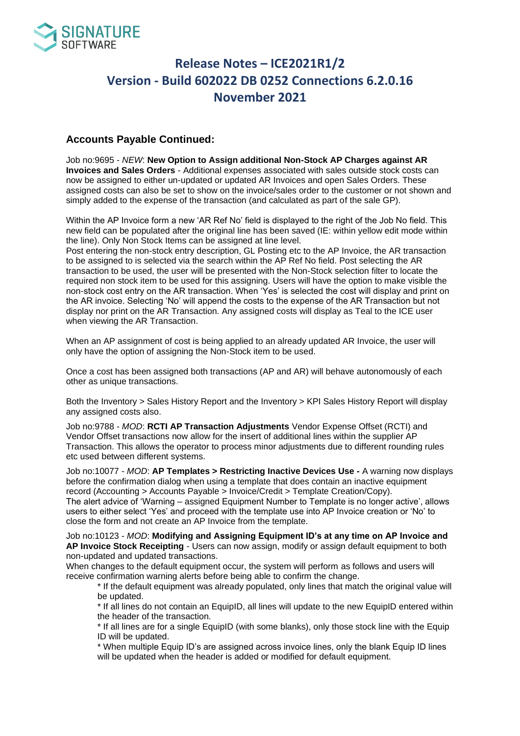

## **Accounts Payable Continued:**

Job no:9695 - *NEW*: **New Option to Assign additional Non-Stock AP Charges against AR Invoices and Sales Orders** - Additional expenses associated with sales outside stock costs can now be assigned to either un-updated or updated AR Invoices and open Sales Orders. These assigned costs can also be set to show on the invoice/sales order to the customer or not shown and simply added to the expense of the transaction (and calculated as part of the sale GP).

Within the AP Invoice form a new 'AR Ref No' field is displayed to the right of the Job No field. This new field can be populated after the original line has been saved (IE: within yellow edit mode within the line). Only Non Stock Items can be assigned at line level.

Post entering the non-stock entry description, GL Posting etc to the AP Invoice, the AR transaction to be assigned to is selected via the search within the AP Ref No field. Post selecting the AR transaction to be used, the user will be presented with the Non-Stock selection filter to locate the required non stock item to be used for this assigning. Users will have the option to make visible the non-stock cost entry on the AR transaction. When 'Yes' is selected the cost will display and print on the AR invoice. Selecting 'No' will append the costs to the expense of the AR Transaction but not display nor print on the AR Transaction. Any assigned costs will display as Teal to the ICE user when viewing the AR Transaction.

When an AP assignment of cost is being applied to an already updated AR Invoice, the user will only have the option of assigning the Non-Stock item to be used.

Once a cost has been assigned both transactions (AP and AR) will behave autonomously of each other as unique transactions.

Both the Inventory > Sales History Report and the Inventory > KPI Sales History Report will display any assigned costs also.

Job no:9788 - *MOD*: **RCTI AP Transaction Adjustments** Vendor Expense Offset (RCTI) and Vendor Offset transactions now allow for the insert of additional lines within the supplier AP Transaction. This allows the operator to process minor adjustments due to different rounding rules etc used between different systems.

Job no:10077 - *MOD*: **AP Templates > Restricting Inactive Devices Use -** A warning now displays before the confirmation dialog when using a template that does contain an inactive equipment record (Accounting > Accounts Payable > Invoice/Credit > Template Creation/Copy).

The alert advice of 'Warning – assigned Equipment Number to Template is no longer active', allows users to either select 'Yes' and proceed with the template use into AP Invoice creation or 'No' to close the form and not create an AP Invoice from the template.

Job no:10123 - *MOD*: **Modifying and Assigning Equipment ID's at any time on AP Invoice and AP Invoice Stock Receipting** - Users can now assign, modify or assign default equipment to both non-updated and updated transactions.

When changes to the default equipment occur, the system will perform as follows and users will receive confirmation warning alerts before being able to confirm the change.

\* If the default equipment was already populated, only lines that match the original value will be updated.

\* If all lines do not contain an EquipID, all lines will update to the new EquipID entered within the header of the transaction.

\* If all lines are for a single EquipID (with some blanks), only those stock line with the Equip ID will be updated.

\* When multiple Equip ID's are assigned across invoice lines, only the blank Equip ID lines will be updated when the header is added or modified for default equipment.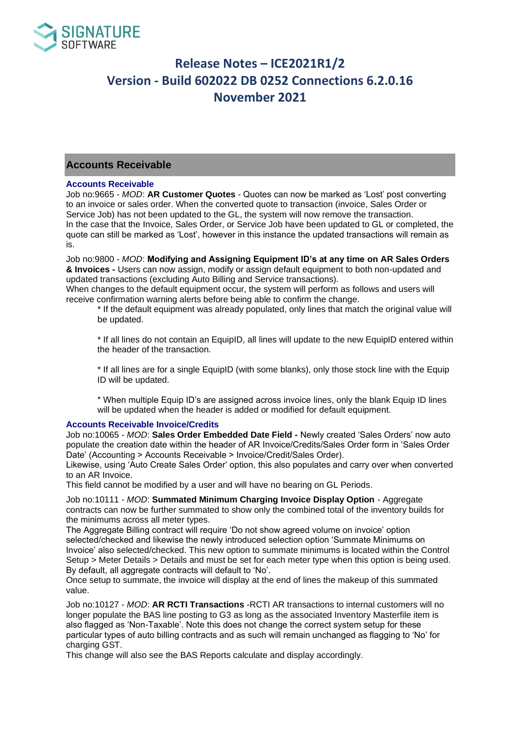

## **Accounts Receivable**

#### **Accounts Receivable**

Job no:9665 - *MOD*: **AR Customer Quotes** - Quotes can now be marked as 'Lost' post converting to an invoice or sales order. When the converted quote to transaction (invoice, Sales Order or Service Job) has not been updated to the GL, the system will now remove the transaction. In the case that the Invoice, Sales Order, or Service Job have been updated to GL or completed, the quote can still be marked as 'Lost', however in this instance the updated transactions will remain as is.

Job no:9800 - *MOD*: **Modifying and Assigning Equipment ID's at any time on AR Sales Orders & Invoices -** Users can now assign, modify or assign default equipment to both non-updated and updated transactions (excluding Auto Billing and Service transactions).

When changes to the default equipment occur, the system will perform as follows and users will receive confirmation warning alerts before being able to confirm the change.

\* If the default equipment was already populated, only lines that match the original value will be updated.

\* If all lines do not contain an EquipID, all lines will update to the new EquipID entered within the header of the transaction.

\* If all lines are for a single EquipID (with some blanks), only those stock line with the Equip ID will be updated.

\* When multiple Equip ID's are assigned across invoice lines, only the blank Equip ID lines will be updated when the header is added or modified for default equipment.

#### **Accounts Receivable Invoice/Credits**

Job no:10065 - *MOD*: **Sales Order Embedded Date Field -** Newly created 'Sales Orders' now auto populate the creation date within the header of AR Invoice/Credits/Sales Order form in 'Sales Order Date' (Accounting > Accounts Receivable > Invoice/Credit/Sales Order).

Likewise, using 'Auto Create Sales Order' option, this also populates and carry over when converted to an AR Invoice.

This field cannot be modified by a user and will have no bearing on GL Periods.

Job no:10111 - *MOD*: **Summated Minimum Charging Invoice Display Option** - Aggregate contracts can now be further summated to show only the combined total of the inventory builds for the minimums across all meter types.

The Aggregate Billing contract will require 'Do not show agreed volume on invoice' option selected/checked and likewise the newly introduced selection option 'Summate Minimums on Invoice' also selected/checked. This new option to summate minimums is located within the Control Setup > Meter Details > Details and must be set for each meter type when this option is being used. By default, all aggregate contracts will default to 'No'.

Once setup to summate, the invoice will display at the end of lines the makeup of this summated value.

Job no:10127 - *MOD*: **AR RCTI Transactions** -RCTI AR transactions to internal customers will no longer populate the BAS line posting to G3 as long as the associated Inventory Masterfile item is also flagged as 'Non-Taxable'. Note this does not change the correct system setup for these particular types of auto billing contracts and as such will remain unchanged as flagging to 'No' for charging GST.

This change will also see the BAS Reports calculate and display accordingly.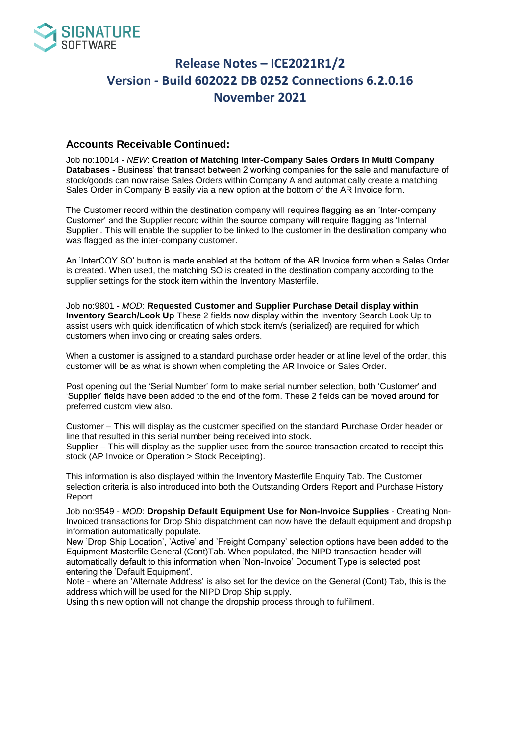

## **Accounts Receivable Continued:**

Job no:10014 - *NEW*: **Creation of Matching Inter-Company Sales Orders in Multi Company Databases -** Business' that transact between 2 working companies for the sale and manufacture of stock/goods can now raise Sales Orders within Company A and automatically create a matching Sales Order in Company B easily via a new option at the bottom of the AR Invoice form.

The Customer record within the destination company will requires flagging as an 'Inter-company Customer' and the Supplier record within the source company will require flagging as 'Internal Supplier'. This will enable the supplier to be linked to the customer in the destination company who was flagged as the inter-company customer.

An 'InterCOY SO' button is made enabled at the bottom of the AR Invoice form when a Sales Order is created. When used, the matching SO is created in the destination company according to the supplier settings for the stock item within the Inventory Masterfile.

Job no:9801 - *MOD*: **Requested Customer and Supplier Purchase Detail display within Inventory Search/Look Up** These 2 fields now display within the Inventory Search Look Up to assist users with quick identification of which stock item/s (serialized) are required for which customers when invoicing or creating sales orders.

When a customer is assigned to a standard purchase order header or at line level of the order, this customer will be as what is shown when completing the AR Invoice or Sales Order.

Post opening out the 'Serial Number' form to make serial number selection, both 'Customer' and 'Supplier' fields have been added to the end of the form. These 2 fields can be moved around for preferred custom view also.

Customer – This will display as the customer specified on the standard Purchase Order header or line that resulted in this serial number being received into stock. Supplier – This will display as the supplier used from the source transaction created to receipt this stock (AP Invoice or Operation > Stock Receipting).

This information is also displayed within the Inventory Masterfile Enquiry Tab. The Customer selection criteria is also introduced into both the Outstanding Orders Report and Purchase History Report.

Job no:9549 - *MOD*: **Dropship Default Equipment Use for Non-Invoice Supplies** - Creating Non-Invoiced transactions for Drop Ship dispatchment can now have the default equipment and dropship information automatically populate.

New 'Drop Ship Location', 'Active' and 'Freight Company' selection options have been added to the Equipment Masterfile General (Cont)Tab. When populated, the NIPD transaction header will automatically default to this information when 'Non-Invoice' Document Type is selected post entering the 'Default Equipment'.

Note - where an 'Alternate Address' is also set for the device on the General (Cont) Tab, this is the address which will be used for the NIPD Drop Ship supply.

Using this new option will not change the dropship process through to fulfilment.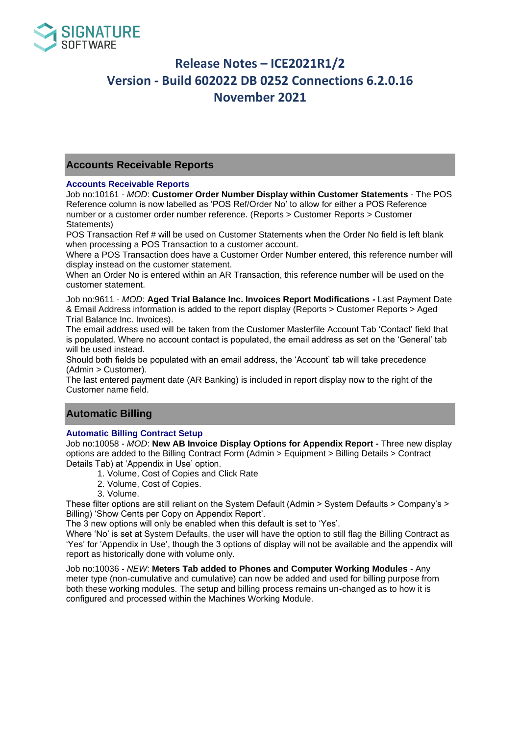

## **Accounts Receivable Reports**

### **Accounts Receivable Reports**

Job no:10161 - *MOD*: **Customer Order Number Display within Customer Statements** - The POS Reference column is now labelled as 'POS Ref/Order No' to allow for either a POS Reference number or a customer order number reference. (Reports > Customer Reports > Customer Statements)

POS Transaction Ref # will be used on Customer Statements when the Order No field is left blank when processing a POS Transaction to a customer account.

Where a POS Transaction does have a Customer Order Number entered, this reference number will display instead on the customer statement.

When an Order No is entered within an AR Transaction, this reference number will be used on the customer statement.

Job no:9611 - *MOD*: **Aged Trial Balance Inc. Invoices Report Modifications -** Last Payment Date & Email Address information is added to the report display (Reports > Customer Reports > Aged Trial Balance Inc. Invoices).

The email address used will be taken from the Customer Masterfile Account Tab 'Contact' field that is populated. Where no account contact is populated, the email address as set on the 'General' tab will be used instead.

Should both fields be populated with an email address, the 'Account' tab will take precedence (Admin > Customer).

The last entered payment date (AR Banking) is included in report display now to the right of the Customer name field.

## **Automatic Billing**

### **Automatic Billing Contract Setup**

Job no:10058 - *MOD*: **New AB Invoice Display Options for Appendix Report -** Three new display options are added to the Billing Contract Form (Admin > Equipment > Billing Details > Contract Details Tab) at 'Appendix in Use' option.

- 1. Volume, Cost of Copies and Click Rate
- 2. Volume, Cost of Copies.
- 3. Volume.

These filter options are still reliant on the System Default (Admin > System Defaults > Company's > Billing) 'Show Cents per Copy on Appendix Report'.

The 3 new options will only be enabled when this default is set to 'Yes'.

Where 'No' is set at System Defaults, the user will have the option to still flag the Billing Contract as 'Yes' for 'Appendix in Use', though the 3 options of display will not be available and the appendix will report as historically done with volume only.

Job no:10036 - *NEW*: **Meters Tab added to Phones and Computer Working Modules** - Any meter type (non-cumulative and cumulative) can now be added and used for billing purpose from both these working modules. The setup and billing process remains un-changed as to how it is configured and processed within the Machines Working Module.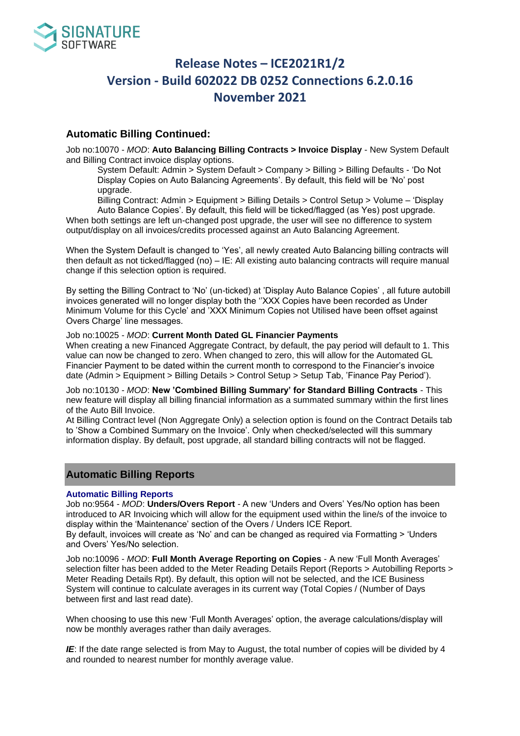

## **Automatic Billing Continued:**

Job no:10070 - *MOD*: **Auto Balancing Billing Contracts > Invoice Display** - New System Default and Billing Contract invoice display options.

System Default: Admin > System Default > Company > Billing > Billing Defaults - 'Do Not Display Copies on Auto Balancing Agreements'. By default, this field will be 'No' post upgrade.

Billing Contract: Admin > Equipment > Billing Details > Control Setup > Volume – 'Display

Auto Balance Copies'. By default, this field will be ticked/flagged (as Yes) post upgrade. When both settings are left un-changed post upgrade, the user will see no difference to system output/display on all invoices/credits processed against an Auto Balancing Agreement.

When the System Default is changed to 'Yes', all newly created Auto Balancing billing contracts will then default as not ticked/flagged (no) – IE: All existing auto balancing contracts will require manual change if this selection option is required.

By setting the Billing Contract to 'No' (un-ticked) at 'Display Auto Balance Copies' , all future autobill invoices generated will no longer display both the ''XXX Copies have been recorded as Under Minimum Volume for this Cycle' and 'XXX Minimum Copies not Utilised have been offset against Overs Charge' line messages.

#### Job no:10025 - *MOD*: **Current Month Dated GL Financier Payments**

When creating a new Financed Aggregate Contract, by default, the pay period will default to 1. This value can now be changed to zero. When changed to zero, this will allow for the Automated GL Financier Payment to be dated within the current month to correspond to the Financier's invoice date (Admin > Equipment > Billing Details > Control Setup > Setup Tab, 'Finance Pay Period').

Job no:10130 - *MOD*: **New 'Combined Billing Summary' for Standard Billing Contracts** - This new feature will display all billing financial information as a summated summary within the first lines of the Auto Bill Invoice.

At Billing Contract level (Non Aggregate Only) a selection option is found on the Contract Details tab to 'Show a Combined Summary on the Invoice'. Only when checked/selected will this summary information display. By default, post upgrade, all standard billing contracts will not be flagged.

## **Automatic Billing Reports**

### **Automatic Billing Reports**

Job no:9564 - *MOD*: **Unders/Overs Report** - A new 'Unders and Overs' Yes/No option has been introduced to AR Invoicing which will allow for the equipment used within the line/s of the invoice to display within the 'Maintenance' section of the Overs / Unders ICE Report.

By default, invoices will create as 'No' and can be changed as required via Formatting > 'Unders and Overs' Yes/No selection.

Job no:10096 - *MOD*: **Full Month Average Reporting on Copies** - A new 'Full Month Averages' selection filter has been added to the Meter Reading Details Report (Reports > Autobilling Reports > Meter Reading Details Rpt). By default, this option will not be selected, and the ICE Business System will continue to calculate averages in its current way (Total Copies / (Number of Days between first and last read date).

When choosing to use this new 'Full Month Averages' option, the average calculations/display will now be monthly averages rather than daily averages.

*IE*: If the date range selected is from May to August, the total number of copies will be divided by 4 and rounded to nearest number for monthly average value.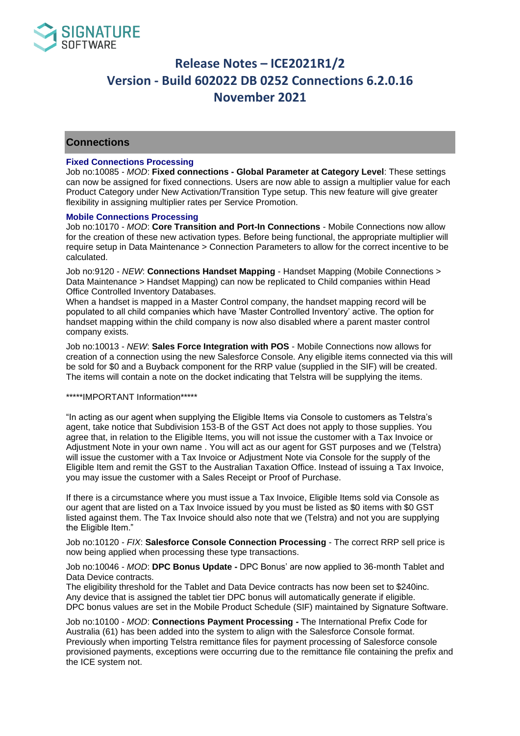

## **Connections**

### **Fixed Connections Processing**

Job no:10085 - *MOD*: **Fixed connections - Global Parameter at Category Level**: These settings can now be assigned for fixed connections. Users are now able to assign a multiplier value for each Product Category under New Activation/Transition Type setup. This new feature will give greater flexibility in assigning multiplier rates per Service Promotion.

#### **Mobile Connections Processing**

Job no:10170 - *MOD*: **Core Transition and Port-In Connections** - Mobile Connections now allow for the creation of these new activation types. Before being functional, the appropriate multiplier will require setup in Data Maintenance > Connection Parameters to allow for the correct incentive to be calculated.

Job no:9120 - *NEW*: **Connections Handset Mapping** - Handset Mapping (Mobile Connections > Data Maintenance > Handset Mapping) can now be replicated to Child companies within Head Office Controlled Inventory Databases.

When a handset is mapped in a Master Control company, the handset mapping record will be populated to all child companies which have 'Master Controlled Inventory' active. The option for handset mapping within the child company is now also disabled where a parent master control company exists.

Job no:10013 - *NEW*: **Sales Force Integration with POS** - Mobile Connections now allows for creation of a connection using the new Salesforce Console. Any eligible items connected via this will be sold for \$0 and a Buyback component for the RRP value (supplied in the SIF) will be created. The items will contain a note on the docket indicating that Telstra will be supplying the items.

### \*\*\*\*\*IMPORTANT Information\*\*\*\*\*

"In acting as our agent when supplying the Eligible Items via Console to customers as Telstra's agent, take notice that Subdivision 153-B of the GST Act does not apply to those supplies. You agree that, in relation to the Eligible Items, you will not issue the customer with a Tax Invoice or Adjustment Note in your own name . You will act as our agent for GST purposes and we (Telstra) will issue the customer with a Tax Invoice or Adjustment Note via Console for the supply of the Eligible Item and remit the GST to the Australian Taxation Office. Instead of issuing a Tax Invoice, you may issue the customer with a Sales Receipt or Proof of Purchase.

If there is a circumstance where you must issue a Tax Invoice, Eligible Items sold via Console as our agent that are listed on a Tax Invoice issued by you must be listed as \$0 items with \$0 GST listed against them. The Tax Invoice should also note that we (Telstra) and not you are supplying the Eligible Item."

Job no:10120 - *FIX*: **Salesforce Console Connection Processing** - The correct RRP sell price is now being applied when processing these type transactions.

#### Job no:10046 - *MOD*: **DPC Bonus Update -** DPC Bonus' are now applied to 36-month Tablet and Data Device contracts.

The eligibility threshold for the Tablet and Data Device contracts has now been set to \$240inc. Any device that is assigned the tablet tier DPC bonus will automatically generate if eligible. DPC bonus values are set in the Mobile Product Schedule (SIF) maintained by Signature Software.

Job no:10100 - *MOD*: **Connections Payment Processing -** The International Prefix Code for Australia (61) has been added into the system to align with the Salesforce Console format. Previously when importing Telstra remittance files for payment processing of Salesforce console provisioned payments, exceptions were occurring due to the remittance file containing the prefix and the ICE system not.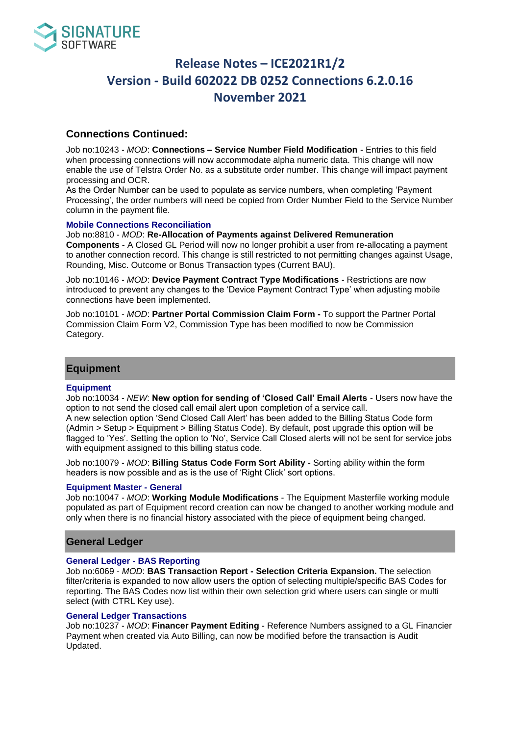

## **Connections Continued:**

Job no:10243 - *MOD*: **Connections – Service Number Field Modification** - Entries to this field when processing connections will now accommodate alpha numeric data. This change will now enable the use of Telstra Order No. as a substitute order number. This change will impact payment processing and OCR.

As the Order Number can be used to populate as service numbers, when completing 'Payment Processing', the order numbers will need be copied from Order Number Field to the Service Number column in the payment file.

### **Mobile Connections Reconciliation**

Job no:8810 - *MOD*: **Re-Allocation of Payments against Delivered Remuneration Components** - A Closed GL Period will now no longer prohibit a user from re-allocating a payment to another connection record. This change is still restricted to not permitting changes against Usage, Rounding, Misc. Outcome or Bonus Transaction types (Current BAU).

Job no:10146 - *MOD*: **Device Payment Contract Type Modifications** - Restrictions are now introduced to prevent any changes to the 'Device Payment Contract Type' when adjusting mobile connections have been implemented.

Job no:10101 - *MOD*: **Partner Portal Commission Claim Form -** To support the Partner Portal Commission Claim Form V2, Commission Type has been modified to now be Commission Category.

## **Equipment**

#### **Equipment**

Job no:10034 - *NEW*: **New option for sending of 'Closed Call' Email Alerts** - Users now have the option to not send the closed call email alert upon completion of a service call.

A new selection option 'Send Closed Call Alert' has been added to the Billing Status Code form (Admin > Setup > Equipment > Billing Status Code). By default, post upgrade this option will be flagged to 'Yes'. Setting the option to 'No', Service Call Closed alerts will not be sent for service jobs with equipment assigned to this billing status code.

Job no:10079 - *MOD*: **Billing Status Code Form Sort Ability** - Sorting ability within the form headers is now possible and as is the use of 'Right Click' sort options.

#### **Equipment Master - General**

Job no:10047 - *MOD*: **Working Module Modifications** - The Equipment Masterfile working module populated as part of Equipment record creation can now be changed to another working module and only when there is no financial history associated with the piece of equipment being changed.

## **General Ledger**

#### **General Ledger - BAS Reporting**

Job no:6069 - *MOD*: **BAS Transaction Report - Selection Criteria Expansion.** The selection filter/criteria is expanded to now allow users the option of selecting multiple/specific BAS Codes for reporting. The BAS Codes now list within their own selection grid where users can single or multi select (with CTRL Key use).

#### **General Ledger Transactions**

Job no:10237 - *MOD*: **Financer Payment Editing** - Reference Numbers assigned to a GL Financier Payment when created via Auto Billing, can now be modified before the transaction is Audit Updated.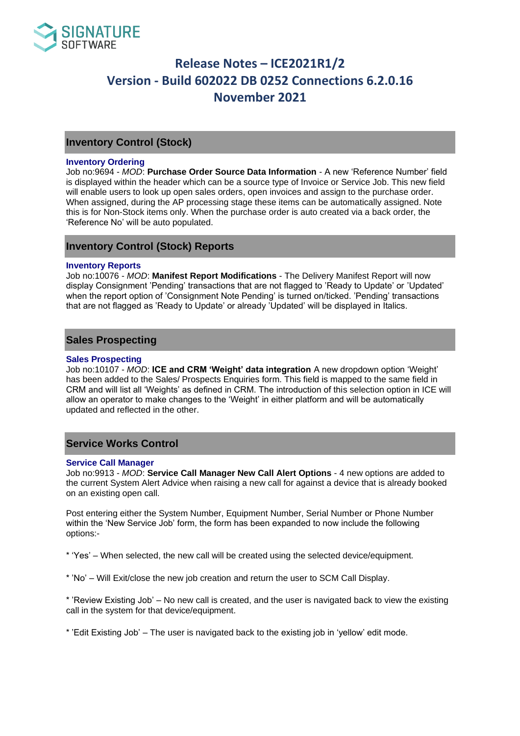

## **Inventory Control (Stock)**

### **Inventory Ordering**

Job no:9694 - *MOD*: **Purchase Order Source Data Information** - A new 'Reference Number' field is displayed within the header which can be a source type of Invoice or Service Job. This new field will enable users to look up open sales orders, open invoices and assign to the purchase order. When assigned, during the AP processing stage these items can be automatically assigned. Note this is for Non-Stock items only. When the purchase order is auto created via a back order, the 'Reference No' will be auto populated.

## **Inventory Control (Stock) Reports**

#### **Inventory Reports**

Job no:10076 - *MOD*: **Manifest Report Modifications** - The Delivery Manifest Report will now display Consignment 'Pending' transactions that are not flagged to 'Ready to Update' or 'Updated' when the report option of 'Consignment Note Pending' is turned on/ticked. 'Pending' transactions that are not flagged as 'Ready to Update' or already 'Updated' will be displayed in Italics.

## **Sales Prospecting**

### **Sales Prospecting**

Job no:10107 - *MOD*: **ICE and CRM 'Weight' data integration** A new dropdown option 'Weight' has been added to the Sales/ Prospects Enquiries form. This field is mapped to the same field in CRM and will list all 'Weights' as defined in CRM. The introduction of this selection option in ICE will allow an operator to make changes to the 'Weight' in either platform and will be automatically updated and reflected in the other.

### **Service Works Control**

#### **Service Call Manager**

Job no:9913 - *MOD*: **Service Call Manager New Call Alert Options** - 4 new options are added to the current System Alert Advice when raising a new call for against a device that is already booked on an existing open call.

Post entering either the System Number, Equipment Number, Serial Number or Phone Number within the 'New Service Job' form, the form has been expanded to now include the following options:-

\* 'Yes' – When selected, the new call will be created using the selected device/equipment.

\* 'No' – Will Exit/close the new job creation and return the user to SCM Call Display.

\* 'Review Existing Job' – No new call is created, and the user is navigated back to view the existing call in the system for that device/equipment.

\* 'Edit Existing Job' – The user is navigated back to the existing job in 'yellow' edit mode.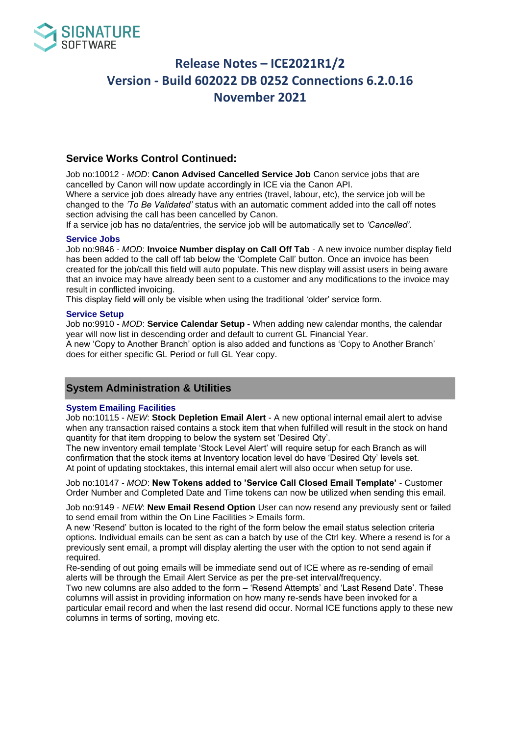

## **Service Works Control Continued:**

Job no:10012 - *MOD*: **Canon Advised Cancelled Service Job** Canon service jobs that are cancelled by Canon will now update accordingly in ICE via the Canon API.

Where a service job does already have any entries (travel, labour, etc), the service job will be changed to the *'To Be Validated'* status with an automatic comment added into the call off notes section advising the call has been cancelled by Canon.

If a service job has no data/entries, the service job will be automatically set to *'Cancelled'*.

### **Service Jobs**

Job no:9846 - *MOD*: **Invoice Number display on Call Off Tab** - A new invoice number display field has been added to the call off tab below the 'Complete Call' button. Once an invoice has been created for the job/call this field will auto populate. This new display will assist users in being aware that an invoice may have already been sent to a customer and any modifications to the invoice may result in conflicted invoicing.

This display field will only be visible when using the traditional 'older' service form.

### **Service Setup**

Job no:9910 - *MOD*: **Service Calendar Setup -** When adding new calendar months, the calendar year will now list in descending order and default to current GL Financial Year. A new 'Copy to Another Branch' option is also added and functions as 'Copy to Another Branch'

does for either specific GL Period or full GL Year copy.

## **System Administration & Utilities**

### **System Emailing Facilities**

Job no:10115 - *NEW*: **Stock Depletion Email Alert** - A new optional internal email alert to advise when any transaction raised contains a stock item that when fulfilled will result in the stock on hand quantity for that item dropping to below the system set 'Desired Qty'.

The new inventory email template 'Stock Level Alert' will require setup for each Branch as will confirmation that the stock items at Inventory location level do have 'Desired Qty' levels set. At point of updating stocktakes, this internal email alert will also occur when setup for use.

Job no:10147 - *MOD*: **New Tokens added to 'Service Call Closed Email Template'** - Customer Order Number and Completed Date and Time tokens can now be utilized when sending this email.

Job no:9149 - *NEW*: **New Email Resend Option** User can now resend any previously sent or failed to send email from within the On Line Facilities > Emails form.

A new 'Resend' button is located to the right of the form below the email status selection criteria options. Individual emails can be sent as can a batch by use of the Ctrl key. Where a resend is for a previously sent email, a prompt will display alerting the user with the option to not send again if required.

Re-sending of out going emails will be immediate send out of ICE where as re-sending of email alerts will be through the Email Alert Service as per the pre-set interval/frequency.

Two new columns are also added to the form – 'Resend Attempts' and 'Last Resend Date'. These columns will assist in providing information on how many re-sends have been invoked for a particular email record and when the last resend did occur. Normal ICE functions apply to these new columns in terms of sorting, moving etc.